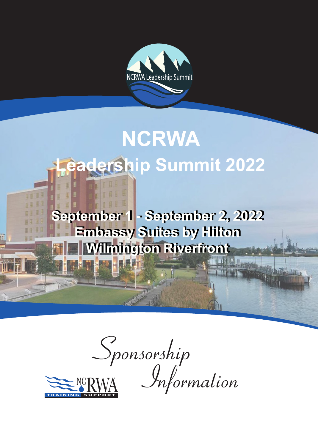

# **NCRWA Leadership Summit 2022**

**September 1 - September 2, 2022 September 1 - September 2, 2022 Embassy Suites by Hilton Embassy Suites by Hilton Wilmington Riverfront Wilmington Riverfront**

**SINGLE 1999** 

**THE REP** 

 $S_{ponsorship}$ <br>**RWA** *Information*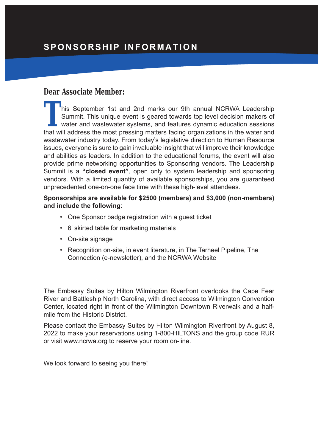## **Dear Associate Member:**

**This September 1st and 2nd marks our 9th annual NCRWA Leadership** Summit. This unique event is geared towards top level decision makers of water and wastewater systems, and features dynamic education sessions that will address the most pressing matters facing organizations in the water and wastewater industry today. From today's legislative direction to Human Resource issues, everyone is sure to gain invaluable insight that will improve their knowledge and abilities as leaders. In addition to the educational forums, the event will also provide prime networking opportunities to Sponsoring vendors. The Leadership Summit is a **"closed event"**, open only to system leadership and sponsoring vendors. With a limited quantity of available sponsorships, you are guaranteed unprecedented one-on-one face time with these high-level attendees.

### **Sponsorships are available for \$2500 (members) and \$3,000 (non-members) and include the following**:

- One Sponsor badge registration with a guest ticket
- 6' skirted table for marketing materials
- On-site signage
- Recognition on-site, in event literature, in The Tarheel Pipeline, The Connection (e-newsletter), and the NCRWA Website

The Embassy Suites by Hilton Wilmington Riverfront overlooks the Cape Fear River and Battleship North Carolina, with direct access to Wilmington Convention Center, located right in front of the Wilmington Downtown Riverwalk and a halfmile from the Historic District.

Please contact the Embassy Suites by Hilton Wilmington Riverfront by August 8, 2022 to make your reservations using 1-800-HILTONS and the group code RUR or visit www.ncrwa.org to reserve your room on-line.

We look forward to seeing you there!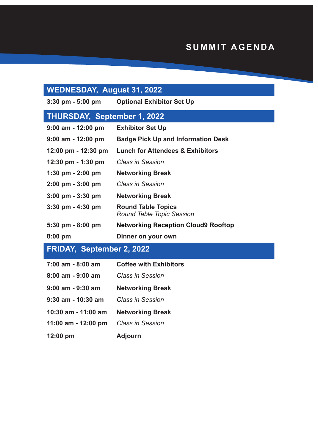## **SUMMIT AGENDA**

## **WEDNESDAY, August 31, 2022**

**3:30 pm - 5:00 pm Optional Exhibitor Set Up**

## **THURSDAY, September 1, 2022**

| $9:00$ am - 12:00 pm                 | <b>Exhibitor Set Up</b>                                |
|--------------------------------------|--------------------------------------------------------|
| $9:00$ am - 12:00 pm                 | <b>Badge Pick Up and Information Desk</b>              |
| 12:00 pm - 12:30 pm                  | <b>Lunch for Attendees &amp; Exhibitors</b>            |
| $12:30 \text{ pm} - 1:30 \text{ pm}$ | Class in Session                                       |
| 1:30 pm $-2:00$ pm                   | <b>Networking Break</b>                                |
| $2:00 \text{ pm} - 3:00 \text{ pm}$  | Class in Session                                       |
| $3:00 \text{ pm} - 3:30 \text{ pm}$  | <b>Networking Break</b>                                |
| $3:30$ pm $-4:30$ pm                 | <b>Round Table Topics</b><br>Round Table Topic Session |
| $5:30 \text{ pm} - 8:00 \text{ pm}$  | <b>Networking Reception Cloud9 Rooftop</b>             |
| $8:00$ pm                            | Dinner on your own                                     |

# **FRIDAY, September 2, 2022**

| 7:00 am - 8:00 am   | <b>Coffee with Exhibitors</b> |  |  |
|---------------------|-------------------------------|--|--|
| 8:00 am - 9:00 am   | Class in Session              |  |  |
| 9:00 am - 9:30 am   | <b>Networking Break</b>       |  |  |
| 9:30 am - 10:30 am  | Class in Session              |  |  |
| 10:30 am - 11:00 am | <b>Networking Break</b>       |  |  |
| 11:00 am - 12:00 pm | <b>Class in Session</b>       |  |  |
| 12:00 pm            | <b>Adjourn</b>                |  |  |